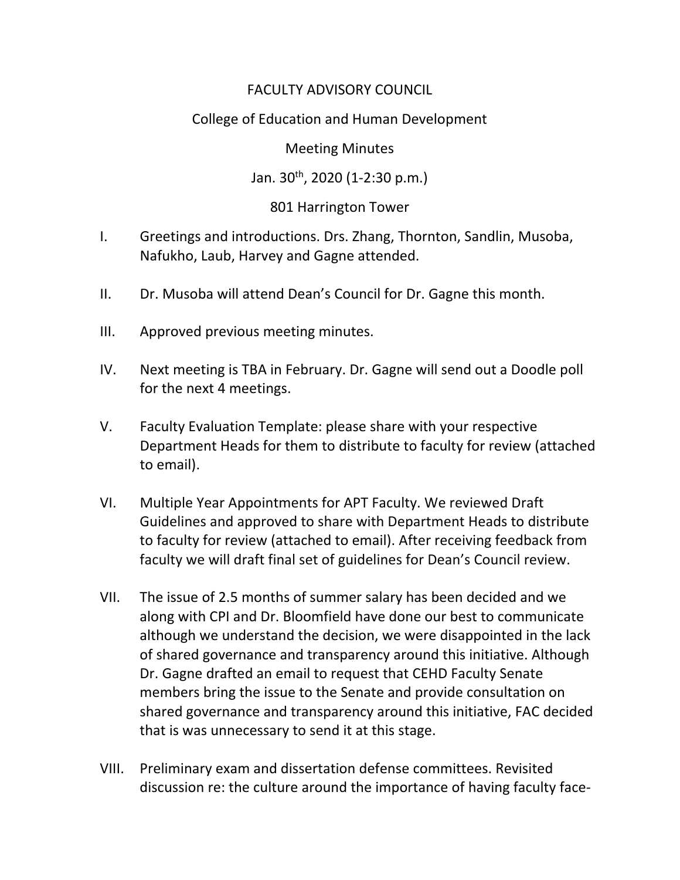# FACULTY ADVISORY COUNCIL

# College of Education and Human Development

#### Meeting Minutes

## Jan. 30th, 2020 (1-2:30 p.m.)

## 801 Harrington Tower

- I. Greetings and introductions. Drs. Zhang, Thornton, Sandlin, Musoba, Nafukho, Laub, Harvey and Gagne attended.
- II. Dr. Musoba will attend Dean's Council for Dr. Gagne this month.
- III. Approved previous meeting minutes.
- IV. Next meeting is TBA in February. Dr. Gagne will send out a Doodle poll for the next 4 meetings.
- V. Faculty Evaluation Template: please share with your respective Department Heads for them to distribute to faculty for review (attached to email).
- VI. Multiple Year Appointments for APT Faculty. We reviewed Draft Guidelines and approved to share with Department Heads to distribute to faculty for review (attached to email). After receiving feedback from faculty we will draft final set of guidelines for Dean's Council review.
- VII. The issue of 2.5 months of summer salary has been decided and we along with CPI and Dr. Bloomfield have done our best to communicate although we understand the decision, we were disappointed in the lack of shared governance and transparency around this initiative. Although Dr. Gagne drafted an email to request that CEHD Faculty Senate members bring the issue to the Senate and provide consultation on shared governance and transparency around this initiative, FAC decided that is was unnecessary to send it at this stage.
- VIII. Preliminary exam and dissertation defense committees. Revisited discussion re: the culture around the importance of having faculty face-